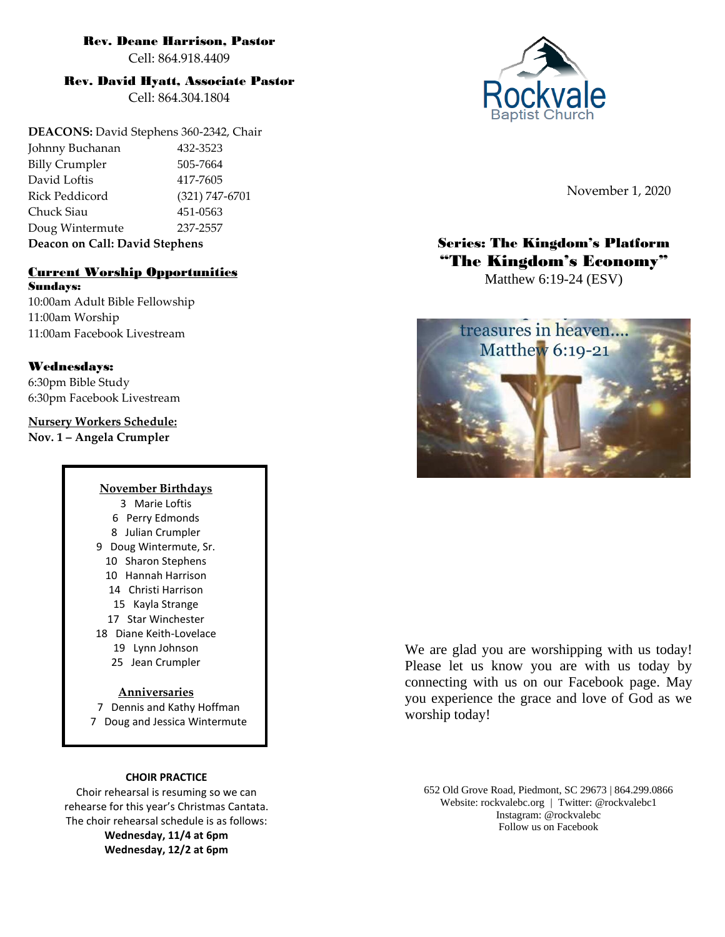#### Rev. Deane Harrison, Pastor

Cell: 864.918.4409

#### Rev. David Hyatt, Associate Pastor

Cell: 864.304.1804

**DEACONS:** David Stephens 360-2342, Chair Johnny Buchanan 432-3523 Billy Crumpler 505-7664 David Loftis 417-7605 Rick Peddicord (321) 747-6701 Chuck Siau 451-0563 Doug Wintermute 237-2557 **Deacon on Call: David Stephens**

## Current Worship Opportunities Sundays:

10:00am Adult Bible Fellowship 11:00am Worship 11:00am Facebook Livestream

#### Wednesdays:

6:30pm Bible Study 6:30pm Facebook Livestream

### **Nursery Workers Schedule:**

**Nov. 1 – Angela Crumpler**

### **November Birthdays** 3 Marie Loftis 6 Perry Edmonds 8 Julian Crumpler 9 Doug Wintermute, Sr. 10 Sharon Stephens 10 Hannah Harrison 14 Christi Harrison 15 Kayla Strange 17 Star Winchester 18 Diane Keith-Lovelace 19 Lynn Johnson 25 Jean Crumpler **Anniversaries** 7 Dennis and Kathy Hoffman 7 Doug and Jessica Wintermute



November 1, 2020

# Series: The Kingdom's Platform "The Kingdom's Economy"

Matthew 6:19-24 (ESV)



We are glad you are worshipping with us today! Please let us know you are with us today by connecting with us on our Facebook page. May you experience the grace and love of God as we worship today!

652 Old Grove Road, Piedmont, SC 29673 | 864.299.0866 Website: rockvalebc.org *|* Twitter: @rockvalebc1 Instagram: @rockvalebc Follow us on Facebook

#### **CHOIR PRACTICE**

Choir rehearsal is resuming so we can rehearse for this year's Christmas Cantata. The choir rehearsal schedule is as follows:

> **Wednesday, 11/4 at 6pm Wednesday, 12/2 at 6pm**